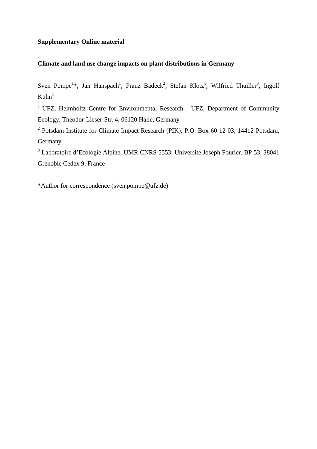## **Supplementary Online material**

## **Climate and land use change impacts on plant distributions in Germany**

Sven Pompe<sup>1\*</sup>, Jan Hanspach<sup>1</sup>, Franz Badeck<sup>2</sup>, Stefan Klotz<sup>1</sup>, Wilfried Thuiller<sup>3</sup>, Ingolf  $Ki**hn**<sup>1</sup>$ 

 $1$  UFZ, Helmholtz Centre for Environmental Research - UFZ, Department of Community Ecology, Theodor-Lieser-Str. 4, 06120 Halle, Germany

<sup>2</sup> Potsdam Institute for Climate Impact Research (PIK), P.O. Box 60 12 03, 14412 Potsdam, Germany

3 Laboratoire d'Ecologie Alpine, UMR CNRS 5553, Université Joseph Fourier, BP 53, 38041 Grenoble Cedex 9, France

\*Author for correspondence (sven.pompe@ufz.de)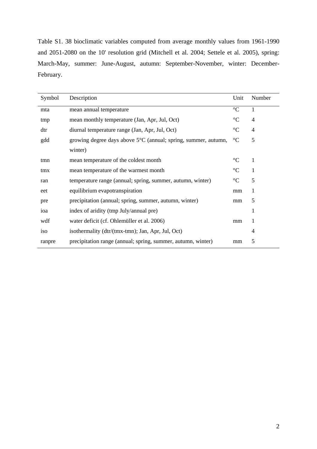Table S1. 38 bioclimatic variables computed from average monthly values from 1961-1990 and 2051-2080 on the 10' resolution grid (Mitchell et al. 2004; Settele et al. 2005), spring: March-May, summer: June-August, autumn: September-November, winter: December-February.

| Symbol | Description                                                              | Unit            | Number         |
|--------|--------------------------------------------------------------------------|-----------------|----------------|
| mta    | mean annual temperature                                                  | $\rm ^{\circ}C$ | $\mathbf{1}$   |
| tmp    | mean monthly temperature (Jan, Apr, Jul, Oct)                            | $\rm ^{\circ}C$ | $\overline{4}$ |
| dtr    | diurnal temperature range (Jan, Apr, Jul, Oct)                           | $\rm ^{\circ}C$ | $\overline{4}$ |
| gdd    | growing degree days above $5^{\circ}$ C (annual; spring, summer, autumn, | $\rm ^{\circ}C$ | 5              |
|        | winter)                                                                  |                 |                |
| tmn    | mean temperature of the coldest month                                    | $\rm ^{\circ}C$ | $\mathbf{1}$   |
| tmx    | mean temperature of the warmest month                                    | $\rm ^{\circ}C$ | $\mathbf{1}$   |
| ran    | temperature range (annual; spring, summer, autumn, winter)               | $\rm ^{\circ}C$ | 5              |
| eet    | equilibrium evapotranspiration                                           | mm              | $\mathbf{1}$   |
| pre    | precipitation (annual; spring, summer, autumn, winter)                   | mm              | 5              |
| ioa    | index of aridity (tmp July/annual pre)                                   |                 | 1              |
| wdf    | water deficit (cf. Ohlemüller et al. 2006)                               | mm              | $\mathbf{1}$   |
| iso    | isothermality (dtr/(tmx-tmn); Jan, Apr, Jul, Oct)                        |                 | 4              |
| ranpre | precipitation range (annual; spring, summer, autumn, winter)             | mm              | 5              |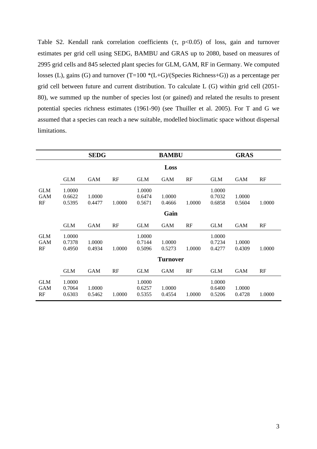Table S2. Kendall rank correlation coefficients  $(\tau, p<0.05)$  of loss, gain and turnover estimates per grid cell using SEDG, BAMBU and GRAS up to 2080, based on measures of 2995 grid cells and 845 selected plant species for GLM, GAM, RF in Germany. We computed losses (L), gains (G) and turnover (T=100  $*(L+G)/(Species$  Richness+G)) as a percentage per grid cell between future and current distribution. To calculate L (G) within grid cell (2051- 80), we summed up the number of species lost (or gained) and related the results to present potential species richness estimates (1961-90) (see Thuiller et al. 2005). For T and G we assumed that a species can reach a new suitable, modelled bioclimatic space without dispersal limitations.

|                                | <b>SEDG</b>                |                  |        | <b>BAMBU</b>               |                  |        | <b>GRAS</b>                |                  |        |  |  |
|--------------------------------|----------------------------|------------------|--------|----------------------------|------------------|--------|----------------------------|------------------|--------|--|--|
|                                | Loss                       |                  |        |                            |                  |        |                            |                  |        |  |  |
|                                | <b>GLM</b>                 | <b>GAM</b>       | RF     | <b>GLM</b>                 | <b>GAM</b>       | RF     | <b>GLM</b>                 | <b>GAM</b>       | RF     |  |  |
| <b>GLM</b><br><b>GAM</b><br>RF | 1.0000<br>0.6622<br>0.5395 | 1.0000<br>0.4477 | 1.0000 | 1.0000<br>0.6474<br>0.5671 | 1.0000<br>0.4666 | 1.0000 | 1.0000<br>0.7032<br>0.6858 | 1.0000<br>0.5604 | 1.0000 |  |  |
| Gain                           |                            |                  |        |                            |                  |        |                            |                  |        |  |  |
|                                | <b>GLM</b>                 | <b>GAM</b>       | RF     | <b>GLM</b>                 | <b>GAM</b>       | RF     | <b>GLM</b>                 | <b>GAM</b>       | RF     |  |  |
| <b>GLM</b><br><b>GAM</b><br>RF | 1.0000<br>0.7378<br>0.4950 | 1.0000<br>0.4934 | 1.0000 | 1.0000<br>0.7144<br>0.5096 | 1.0000<br>0.5273 | 1.0000 | 1.0000<br>0.7234<br>0.4277 | 1.0000<br>0.4309 | 1.0000 |  |  |
| <b>Turnover</b>                |                            |                  |        |                            |                  |        |                            |                  |        |  |  |
|                                | <b>GLM</b>                 | <b>GAM</b>       | RF     | <b>GLM</b>                 | <b>GAM</b>       | RF     | <b>GLM</b>                 | <b>GAM</b>       | RF     |  |  |
| <b>GLM</b><br><b>GAM</b><br>RF | 1.0000<br>0.7064<br>0.6303 | 1.0000<br>0.5462 | 1.0000 | 1.0000<br>0.6257<br>0.5355 | 1.0000<br>0.4554 | 1.0000 | 1.0000<br>0.6400<br>0.5206 | 1.0000<br>0.4728 | 1.0000 |  |  |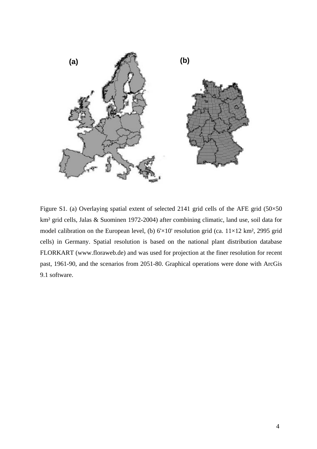

Figure S1. (a) Overlaying spatial extent of selected 2141 grid cells of the AFE grid (50×50 km² grid cells, Jalas & Suominen 1972-2004) after combining climatic, land use, soil data for model calibration on the European level, (b)  $6 \times 10'$  resolution grid (ca.  $11 \times 12$  km<sup>2</sup>, 2995 grid cells) in Germany. Spatial resolution is based on the national plant distribution database FLORKART (www.floraweb.de) and was used for projection at the finer resolution for recent past, 1961-90, and the scenarios from 2051-80. Graphical operations were done with ArcGis 9.1 software.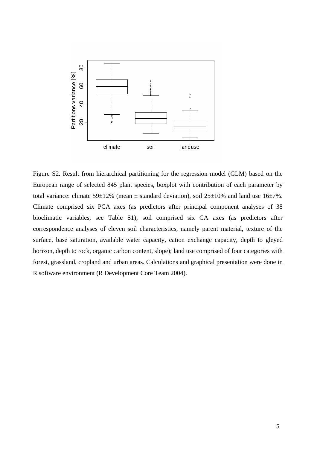

Figure S2. Result from hierarchical partitioning for the regression model (GLM) based on the European range of selected 845 plant species, boxplot with contribution of each parameter by total variance: climate  $59\pm12\%$  (mean  $\pm$  standard deviation), soil  $25\pm10\%$  and land use  $16\pm7\%$ . Climate comprised six PCA axes (as predictors after principal component analyses of 38 bioclimatic variables, see Table S1); soil comprised six CA axes (as predictors after correspondence analyses of eleven soil characteristics, namely parent material, texture of the surface, base saturation, available water capacity, cation exchange capacity, depth to gleyed horizon, depth to rock, organic carbon content, slope); land use comprised of four categories with forest, grassland, cropland and urban areas. Calculations and graphical presentation were done in R software environment (R Development Core Team 2004).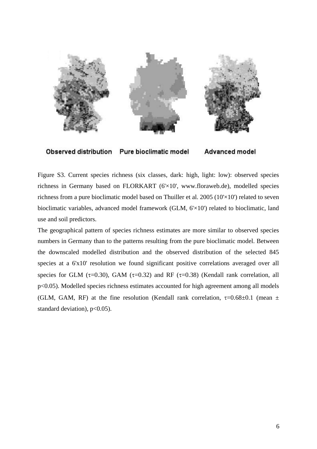

**Observed distribution** 

Pure bioclimatic model

**Advanced model** 

Figure S3. Current species richness (six classes, dark: high, light: low): observed species richness in Germany based on FLORKART (6'×10', www.floraweb.de), modelled species richness from a pure bioclimatic model based on Thuiller et al. 2005 (10'×10') related to seven bioclimatic variables, advanced model framework (GLM, 6'×10') related to bioclimatic, land use and soil predictors.

The geographical pattern of species richness estimates are more similar to observed species numbers in Germany than to the patterns resulting from the pure bioclimatic model. Between the downscaled modelled distribution and the observed distribution of the selected 845 species at a 6'x10' resolution we found significant positive correlations averaged over all species for GLM ( $\tau$ =0.30), GAM ( $\tau$ =0.32) and RF ( $\tau$ =0.38) (Kendall rank correlation, all p<0.05). Modelled species richness estimates accounted for high agreement among all models (GLM, GAM, RF) at the fine resolution (Kendall rank correlation,  $\tau=0.68\pm0.1$  (mean  $\pm$ standard deviation), p<0.05).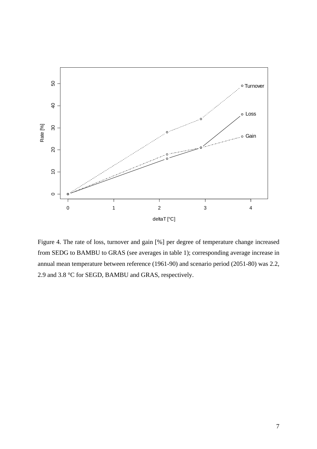

Figure 4. The rate of loss, turnover and gain [%] per degree of temperature change increased from SEDG to BAMBU to GRAS (see averages in table 1); corresponding average increase in annual mean temperature between reference (1961-90) and scenario period (2051-80) was 2.2, 2.9 and 3.8 °C for SEGD, BAMBU and GRAS, respectively.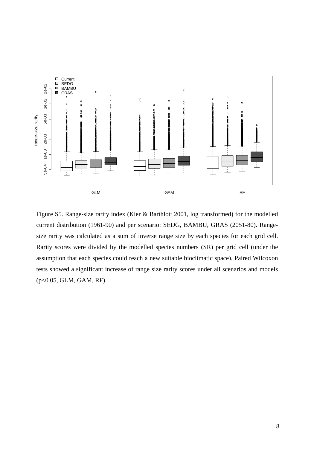

Figure S5. Range-size rarity index (Kier & Barthlott 2001, log transformed) for the modelled current distribution (1961-90) and per scenario: SEDG, BAMBU, GRAS (2051-80). Rangesize rarity was calculated as a sum of inverse range size by each species for each grid cell. Rarity scores were divided by the modelled species numbers (SR) per grid cell (under the assumption that each species could reach a new suitable bioclimatic space). Paired Wilcoxon tests showed a significant increase of range size rarity scores under all scenarios and models (p<0.05, GLM, GAM, RF).